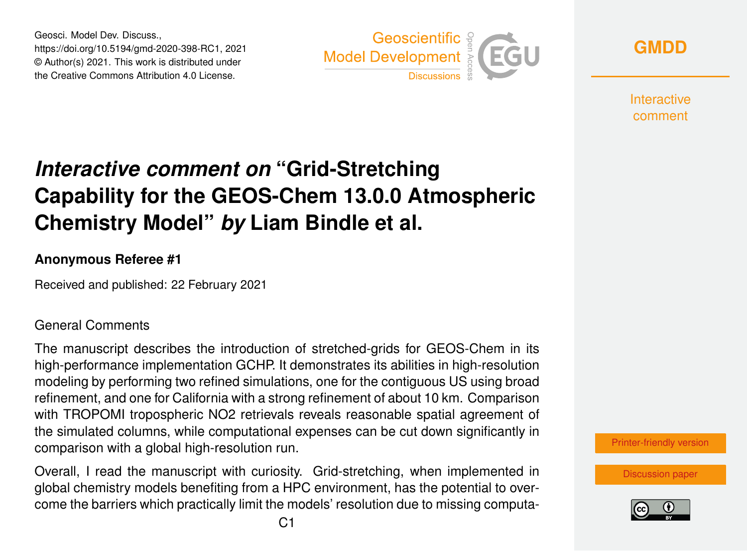Geosci. Model Dev. Discuss., https://doi.org/10.5194/gmd-2020-398-RC1, 2021 © Author(s) 2021. This work is distributed under the Creative Commons Attribution 4.0 License.



**[GMDD](https://gmd.copernicus.org/preprints/)**

**Interactive** comment

# *Interactive comment on* **"Grid-Stretching Capability for the GEOS-Chem 13.0.0 Atmospheric Chemistry Model"** *by* **Liam Bindle et al.**

#### **Anonymous Referee #1**

Received and published: 22 February 2021

#### General Comments

The manuscript describes the introduction of stretched-grids for GEOS-Chem in its high-performance implementation GCHP. It demonstrates its abilities in high-resolution modeling by performing two refined simulations, one for the contiguous US using broad refinement, and one for California with a strong refinement of about 10 km. Comparison with TROPOMI tropospheric NO2 retrievals reveals reasonable spatial agreement of the simulated columns, while computational expenses can be cut down significantly in comparison with a global high-resolution run.

Overall, I read the manuscript with curiosity. Grid-stretching, when implemented in global chemistry models benefiting from a HPC environment, has the potential to overcome the barriers which practically limit the models' resolution due to missing computa[Printer-friendly version](https://gmd.copernicus.org/preprints/gmd-2020-398/gmd-2020-398-RC1-print.pdf)

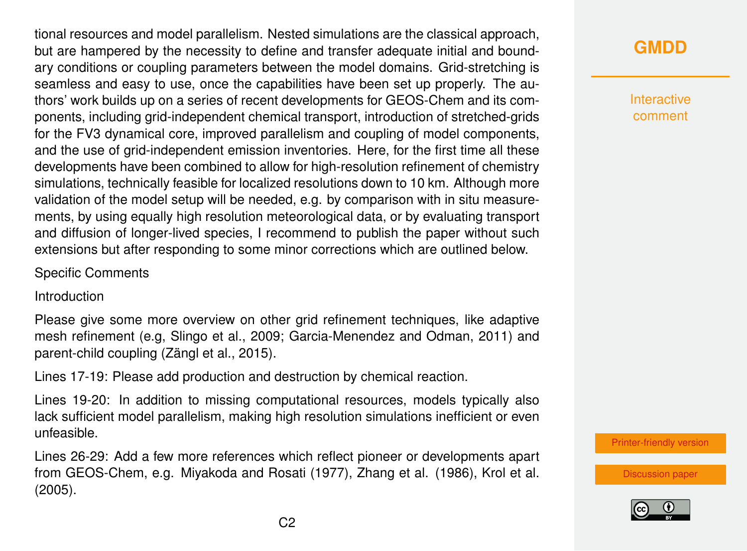tional resources and model parallelism. Nested simulations are the classical approach, but are hampered by the necessity to define and transfer adequate initial and boundary conditions or coupling parameters between the model domains. Grid-stretching is seamless and easy to use, once the capabilities have been set up properly. The authors' work builds up on a series of recent developments for GEOS-Chem and its components, including grid-independent chemical transport, introduction of stretched-grids for the FV3 dynamical core, improved parallelism and coupling of model components, and the use of grid-independent emission inventories. Here, for the first time all these developments have been combined to allow for high-resolution refinement of chemistry simulations, technically feasible for localized resolutions down to 10 km. Although more validation of the model setup will be needed, e.g. by comparison with in situ measurements, by using equally high resolution meteorological data, or by evaluating transport and diffusion of longer-lived species, I recommend to publish the paper without such extensions but after responding to some minor corrections which are outlined below.

#### Specific Comments

Introduction

Please give some more overview on other grid refinement techniques, like adaptive mesh refinement (e.g, Slingo et al., 2009; Garcia-Menendez and Odman, 2011) and parent-child coupling (Zängl et al., 2015).

Lines 17-19: Please add production and destruction by chemical reaction.

Lines 19-20: In addition to missing computational resources, models typically also lack sufficient model parallelism, making high resolution simulations inefficient or even unfeasible.

Lines 26-29: Add a few more references which reflect pioneer or developments apart from GEOS-Chem, e.g. Miyakoda and Rosati (1977), Zhang et al. (1986), Krol et al. (2005).

## **[GMDD](https://gmd.copernicus.org/preprints/)**

**Interactive** comment

[Printer-friendly version](https://gmd.copernicus.org/preprints/gmd-2020-398/gmd-2020-398-RC1-print.pdf)

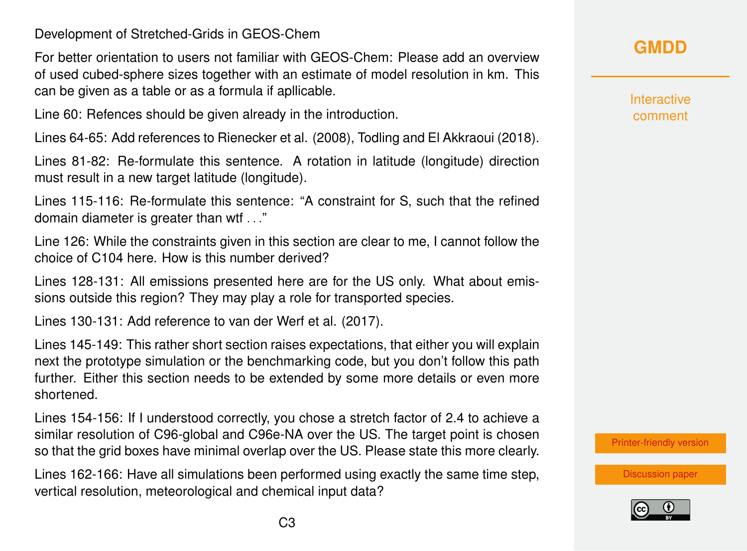Development of Stretched-Grids in GEOS-Chem

For better orientation to users not familiar with GEOS-Chem: Please add an overview of used cubed-sphere sizes together with an estimate of model resolution in km. This can be given as a table or as a formula if apllicable.

Line 60: Refences should be given already in the introduction.

Lines 64-65: Add references to Rienecker et al. (2008), Todling and El Akkraoui (2018).

Lines 81-82: Re-formulate this sentence. A rotation in latitude (longitude) direction must result in a new target latitude (longitude).

Lines 115-116: Re-formulate this sentence: "A constraint for S, such that the refined domain diameter is greater than wtf . . ."

Line 126: While the constraints given in this section are clear to me, I cannot follow the choice of C104 here. How is this number derived?

Lines 128-131: All emissions presented here are for the US only. What about emissions outside this region? They may play a role for transported species.

Lines 130-131: Add reference to van der Werf et al. (2017).

Lines 145-149: This rather short section raises expectations, that either you will explain next the prototype simulation or the benchmarking code, but you don't follow this path further. Either this section needs to be extended by some more details or even more shortened.

Lines 154-156: If I understood correctly, you chose a stretch factor of 2.4 to achieve a similar resolution of C96-global and C96e-NA over the US. The target point is chosen so that the grid boxes have minimal overlap over the US. Please state this more clearly.

Lines 162-166: Have all simulations been performed using exactly the same time step, vertical resolution, meteorological and chemical input data?



**Interactive** comment

[Printer-friendly version](https://gmd.copernicus.org/preprints/gmd-2020-398/gmd-2020-398-RC1-print.pdf)

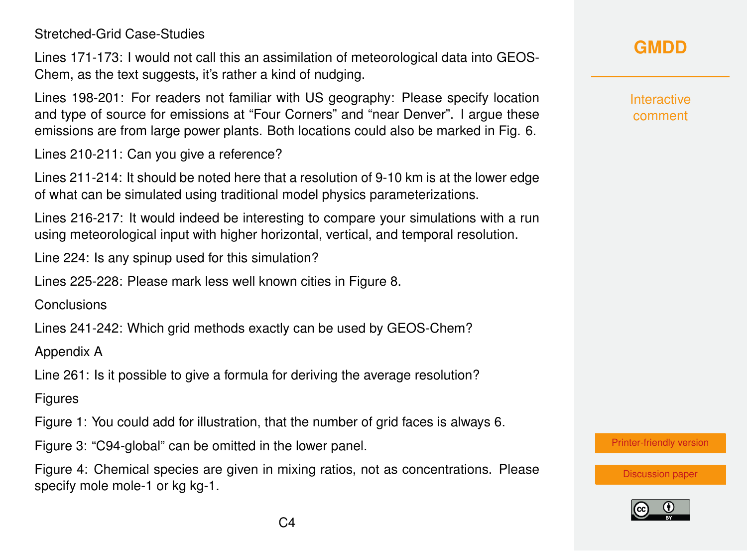Stretched-Grid Case-Studies

Lines 171-173: I would not call this an assimilation of meteorological data into GEOS-Chem, as the text suggests, it's rather a kind of nudging.

Lines 198-201: For readers not familiar with US geography: Please specify location and type of source for emissions at "Four Corners" and "near Denver". I argue these emissions are from large power plants. Both locations could also be marked in Fig. 6.

Lines 210-211: Can you give a reference?

Lines 211-214: It should be noted here that a resolution of 9-10 km is at the lower edge of what can be simulated using traditional model physics parameterizations.

Lines 216-217: It would indeed be interesting to compare your simulations with a run using meteorological input with higher horizontal, vertical, and temporal resolution.

Line 224: Is any spinup used for this simulation?

Lines 225-228: Please mark less well known cities in Figure 8.

**Conclusions** 

Lines 241-242: Which grid methods exactly can be used by GEOS-Chem?

Appendix A

Line 261: Is it possible to give a formula for deriving the average resolution?

**Figures** 

Figure 1: You could add for illustration, that the number of grid faces is always 6.

Figure 3: "C94-global" can be omitted in the lower panel.

Figure 4: Chemical species are given in mixing ratios, not as concentrations. Please specify mole mole-1 or kg kg-1.

**[GMDD](https://gmd.copernicus.org/preprints/)**

Interactive comment

[Printer-friendly version](https://gmd.copernicus.org/preprints/gmd-2020-398/gmd-2020-398-RC1-print.pdf)

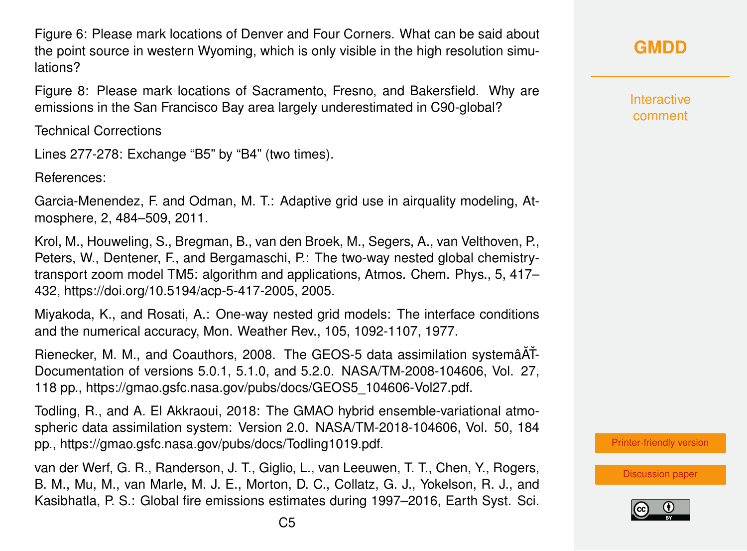Figure 6: Please mark locations of Denver and Four Corners. What can be said about the point source in western Wyoming, which is only visible in the high resolution simulations?

Figure 8: Please mark locations of Sacramento, Fresno, and Bakersfield. Why are emissions in the San Francisco Bay area largely underestimated in C90-global?

Technical Corrections

Lines 277-278: Exchange "B5" by "B4" (two times).

References:

Garcia-Menendez, F. and Odman, M. T.: Adaptive grid use in airquality modeling, Atmosphere, 2, 484–509, 2011.

Krol, M., Houweling, S., Bregman, B., van den Broek, M., Segers, A., van Velthoven, P., Peters, W., Dentener, F., and Bergamaschi, P.: The two-way nested global chemistrytransport zoom model TM5: algorithm and applications, Atmos. Chem. Phys., 5, 417– 432, https://doi.org/10.5194/acp-5-417-2005, 2005.

Miyakoda, K., and Rosati, A.: One-way nested grid models: The interface conditions and the numerical accuracy, Mon. Weather Rev., 105, 1092-1107, 1977.

Rienecker, M. M., and Coauthors, 2008. The GEOS-5 data assimilation systemâAT-Documentation of versions 5.0.1, 5.1.0, and 5.2.0. NASA/TM-2008-104606, Vol. 27, 118 pp., https://gmao.gsfc.nasa.gov/pubs/docs/GEOS5\_104606-Vol27.pdf.

Todling, R., and A. El Akkraoui, 2018: The GMAO hybrid ensemble-variational atmospheric data assimilation system: Version 2.0. NASA/TM-2018-104606, Vol. 50, 184 pp., https://gmao.gsfc.nasa.gov/pubs/docs/Todling1019.pdf.

van der Werf, G. R., Randerson, J. T., Giglio, L., van Leeuwen, T. T., Chen, Y., Rogers, B. M., Mu, M., van Marle, M. J. E., Morton, D. C., Collatz, G. J., Yokelson, R. J., and Kasibhatla, P. S.: Global fire emissions estimates during 1997–2016, Earth Syst. Sci. **Interactive** comment

[Printer-friendly version](https://gmd.copernicus.org/preprints/gmd-2020-398/gmd-2020-398-RC1-print.pdf)